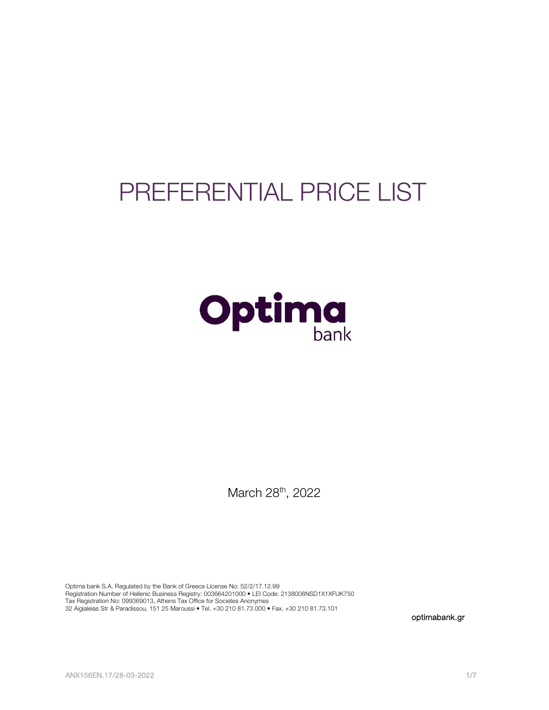# PREFERENTIAL PRICE LIST



March 28<sup>th</sup>, 2022

Optima bank S.A. Regulated by the Bank of Greece License No: 52/2/17.12.99 Registration Number of Hellenic Business Registry: 003664201000 • LEI Code: 2138008NSD1X1XFUK750 Tax Registration No: 099369013, Athens Tax Office for Societes Anonymes 32 Aigialeias Str & Paradissou, 151 25 Maroussi • Tel. +30 210 81.73.000 • Fax. +30 210 81.73.101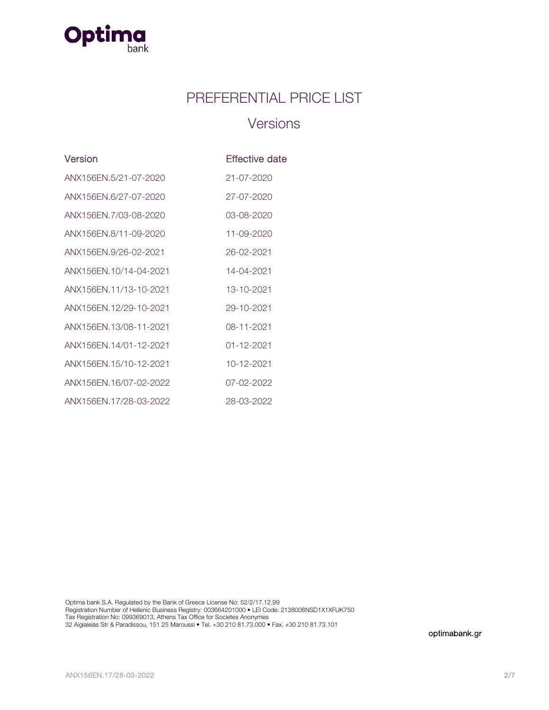

### PREFERENTIAL PRICE LIST

### **Versions**

| Version                | Effective date   |
|------------------------|------------------|
| ANX156EN.5/21-07-2020  | $21 - 07 - 2020$ |
| ANX156FN.6/27-07-2020  | 27-07-2020       |
| ANX156EN.7/03-08-2020  | 03-08-2020       |
| ANX156FN.8/11-09-2020  | 11-09-2020       |
| ANX156EN.9/26-02-2021  | 26-02-2021       |
| ANX156FN.10/14-04-2021 | 14-04-2021       |
| ANX156EN.11/13-10-2021 | 13-10-2021       |
| ANX156EN.12/29-10-2021 | 29-10-2021       |
| ANX156EN.13/08-11-2021 | 08-11-2021       |
| ANX156FN 14/01-12-2021 | 01-12-2021       |
| ANX156EN.15/10-12-2021 | 10-12-2021       |
| ANX156EN.16/07-02-2022 | $07 - 02 - 2022$ |
| ANX156EN.17/28-03-2022 | 28-03-2022       |

Optima bank S.A. Regulated by the Bank of Greece License No: 52/2/17.12.99 Registration Number of Hellenic Business Registry: 003664201000 • LEI Code: 2138008NSD1X1XFUK750 Tax Registration No: 099369013, Athens Tax Office for Societes Anonymes 32 Aigialeias Str & Paradissou, 151 25 Maroussi • Tel. +30 210 81.73.000 • Fax. +30 210 81.73.101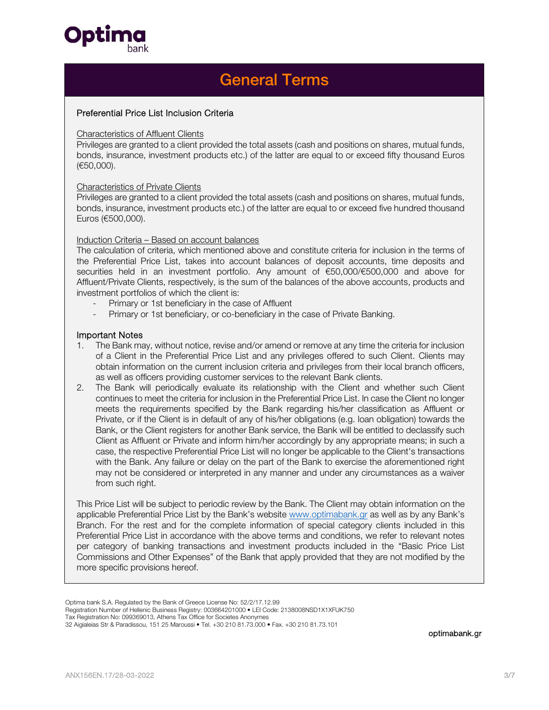

### General Terms

#### Preferential Price List Inclusion Criteria

#### Characteristics of Affluent Clients

Privileges are granted to a client provided the total assets (cash and positions on shares, mutual funds, bonds, insurance, investment products etc.) of the latter are equal to or exceed fifty thousand Euros (€50,000).

#### Characteristics of Private Clients

Privileges are granted to a client provided the total assets (cash and positions on shares, mutual funds, bonds, insurance, investment products etc.) of the latter are equal to or exceed five hundred thousand Euros (€500,000).

#### Induction Criteria – Based on account balances

The calculation of criteria, which mentioned above and constitute criteria for inclusion in the terms of the Preferential Price List, takes into account balances of deposit accounts, time deposits and securities held in an investment portfolio. Any amount of €50,000/€500,000 and above for Affluent/Private Clients, respectively, is the sum of the balances of the above accounts, products and investment portfolios of which the client is:

- Primary or 1st beneficiary in the case of Affluent
- Primary or 1st beneficiary, or co-beneficiary in the case of Private Banking.

#### Important Notes

- 1. The Bank may, without notice, revise and/or amend or remove at any time the criteria for inclusion of a Client in the Preferential Price List and any privileges offered to such Client. Clients may obtain information on the current inclusion criteria and privileges from their local branch officers, as well as officers providing customer services to the relevant Bank clients.
- 2. The Bank will periodically evaluate its relationship with the Client and whether such Client continues to meet the criteria for inclusion in the Preferential Price List. In case the Client no longer meets the requirements specified by the Bank regarding his/her classification as Affluent or Private, or if the Client is in default of any of his/her obligations (e.g. loan obligation) towards the Bank, or the Client registers for another Bank service, the Bank will be entitled to declassify such Client as Affluent or Private and inform him/her accordingly by any appropriate means; in such a case, the respective Preferential Price List will no longer be applicable to the Client's transactions with the Bank. Any failure or delay on the part of the Bank to exercise the aforementioned right may not be considered or interpreted in any manner and under any circumstances as a waiver from such right.

This Price List will be subject to periodic review by the Bank. The Client may obtain information on the applicable Preferential Price List by the Bank's website www.optimabank.gr as well as by any Bank's Branch. For the rest and for the complete information of special category clients included in this Preferential Price List in accordance with the above terms and conditions, we refer to relevant notes per category of banking transactions and investment products included in the "Basic Price List Commissions and Other Expenses" of the Bank that apply provided that they are not modified by the more specific provisions hereof.

Optima bank S.A. Regulated by the Bank of Greece License No: 52/2/17.12.99

Registration Number of Hellenic Business Registry: 003664201000 • LEI Code: 2138008NSD1X1XFUK750

Tax Registration No: 099369013, Athens Tax Office for Societes Anonymes

<sup>32</sup> Aigialeias Str & Paradissou, 151 25 Maroussi • Tel. +30 210 81.73.000 • Fax. +30 210 81.73.101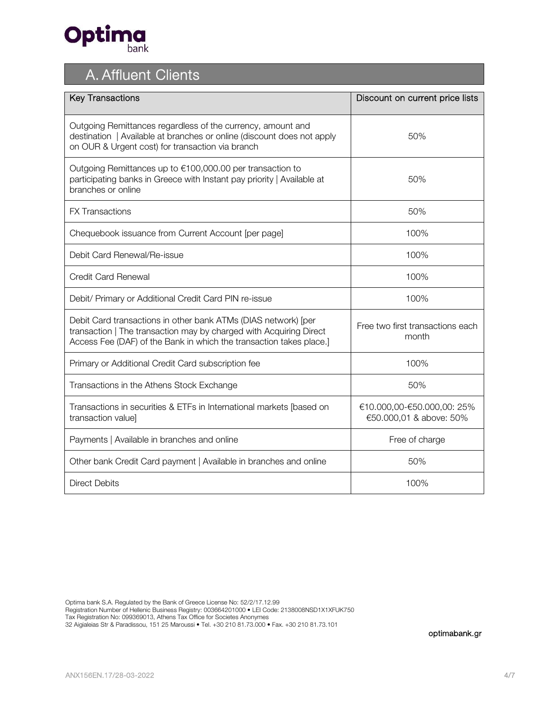

# A. Affluent Clients

| <b>Key Transactions</b>                                                                                                                                                                                     | Discount on current price lists                       |
|-------------------------------------------------------------------------------------------------------------------------------------------------------------------------------------------------------------|-------------------------------------------------------|
| Outgoing Remittances regardless of the currency, amount and<br>destination   Available at branches or online (discount does not apply<br>on OUR & Urgent cost) for transaction via branch                   | 50%                                                   |
| Outgoing Remittances up to €100,000.00 per transaction to<br>participating banks in Greece with Instant pay priority   Available at<br>branches or online                                                   | 50%                                                   |
| <b>FX Transactions</b>                                                                                                                                                                                      | 50%                                                   |
| Chequebook issuance from Current Account [per page]                                                                                                                                                         | 100%                                                  |
| Debit Card Renewal/Re-issue                                                                                                                                                                                 | 100%                                                  |
| Credit Card Renewal                                                                                                                                                                                         | 100%                                                  |
| Debit/ Primary or Additional Credit Card PIN re-issue                                                                                                                                                       | 100%                                                  |
| Debit Card transactions in other bank ATMs (DIAS network) [per<br>transaction   The transaction may by charged with Acquiring Direct<br>Access Fee (DAF) of the Bank in which the transaction takes place.] | Free two first transactions each<br>month             |
| Primary or Additional Credit Card subscription fee                                                                                                                                                          | 100%                                                  |
| Transactions in the Athens Stock Exchange                                                                                                                                                                   | 50%                                                   |
| Transactions in securities & ETFs in International markets [based on<br>transaction value]                                                                                                                  | €10.000,00-€50.000,00: 25%<br>€50.000,01 & above: 50% |
| Payments   Available in branches and online                                                                                                                                                                 | Free of charge                                        |
| Other bank Credit Card payment   Available in branches and online                                                                                                                                           | 50%                                                   |
| Direct Debits                                                                                                                                                                                               | 100%                                                  |

Optima bank S.A. Regulated by the Bank of Greece License No: 52/2/17.12.99

Registration Number of Hellenic Business Registry: 003664201000 • LEI Code: 2138008NSD1X1XFUK750

Tax Registration No: 099369013, Athens Tax Office for Societes Anonymes

32 Aigialeias Str & Paradissou, 151 25 Maroussi • Tel. +30 210 81.73.000 • Fax. +30 210 81.73.101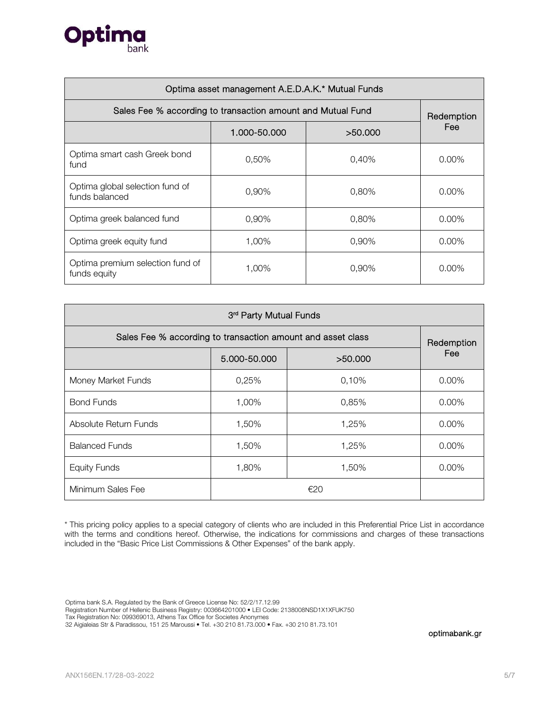

| Optima asset management A.E.D.A.K.* Mutual Funds            |              |         |            |
|-------------------------------------------------------------|--------------|---------|------------|
| Sales Fee % according to transaction amount and Mutual Fund |              |         | Redemption |
|                                                             | 1.000-50.000 | >50.000 | Fee        |
| Optima smart cash Greek bond<br>fund                        | 0,50%        | 0.40%   | $0.00\%$   |
| Optima global selection fund of<br>funds balanced           | 0,90%        | 0,80%   | $0.00\%$   |
| Optima greek balanced fund                                  | 0,90%        | 0,80%   | $0.00\%$   |
| Optima greek equity fund                                    | 1,00%        | 0,90%   | $0.00\%$   |
| Optima premium selection fund of<br>funds equity            | 1,00%        | 0,90%   | $0.00\%$   |

| 3rd Party Mutual Funds                                      |              |         |            |
|-------------------------------------------------------------|--------------|---------|------------|
| Sales Fee % according to transaction amount and asset class |              |         | Redemption |
|                                                             | 5.000-50.000 | >50.000 | Fee        |
| Money Market Funds                                          | 0,25%        | 0,10%   | $0.00\%$   |
| <b>Bond Funds</b>                                           | 1,00%        | 0,85%   | $0.00\%$   |
| Absolute Return Funds                                       | 1,50%        | 1,25%   | $0.00\%$   |
| <b>Balanced Funds</b>                                       | 1,50%        | 1,25%   | $0.00\%$   |
| <b>Equity Funds</b>                                         | 1,80%        | 1,50%   | $0.00\%$   |
| Minimum Sales Fee                                           | €20          |         |            |

\* This pricing policy applies to a special category of clients who are included in this Preferential Price List in accordance with the terms and conditions hereof. Otherwise, the indications for commissions and charges of these transactions included in the "Basic Price List Commissions & Other Expenses" of the bank apply.

Optima bank S.A. Regulated by the Bank of Greece License No: 52/2/17.12.99

Registration Number of Hellenic Business Registry: 003664201000 • LEI Code: 2138008NSD1X1XFUK750

Tax Registration No: 099369013, Athens Tax Office for Societes Anonymes

32 Aigialeias Str & Paradissou, 151 25 Maroussi • Tel. +30 210 81.73.000 • Fax. +30 210 81.73.101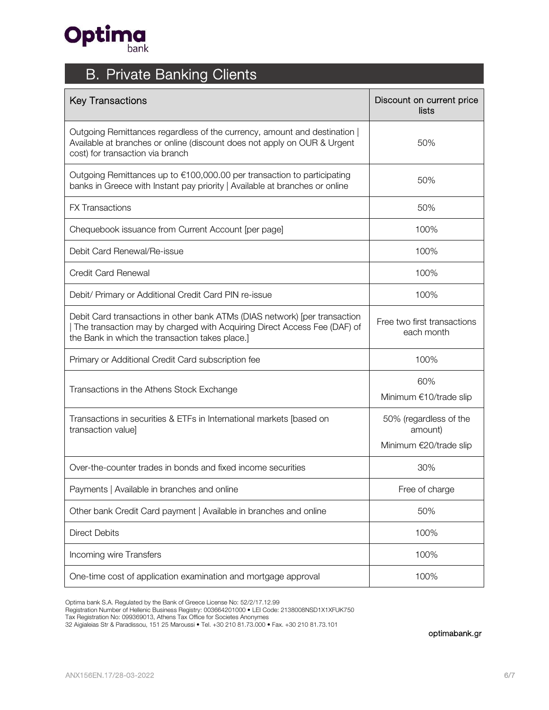

## B. Private Banking Clients

| <b>Key Transactions</b>                                                                                                                                                                                   | Discount on current price<br>lists                          |
|-----------------------------------------------------------------------------------------------------------------------------------------------------------------------------------------------------------|-------------------------------------------------------------|
| Outgoing Remittances regardless of the currency, amount and destination  <br>Available at branches or online (discount does not apply on OUR & Urgent<br>cost) for transaction via branch                 | 50%                                                         |
| Outgoing Remittances up to €100,000.00 per transaction to participating<br>banks in Greece with Instant pay priority   Available at branches or online                                                    | 50%                                                         |
| <b>FX Transactions</b>                                                                                                                                                                                    | 50%                                                         |
| Chequebook issuance from Current Account [per page]                                                                                                                                                       | 100%                                                        |
| Debit Card Renewal/Re-issue                                                                                                                                                                               | 100%                                                        |
| <b>Credit Card Renewal</b>                                                                                                                                                                                | 100%                                                        |
| Debit/ Primary or Additional Credit Card PIN re-issue                                                                                                                                                     | 100%                                                        |
| Debit Card transactions in other bank ATMs (DIAS network) [per transaction<br>The transaction may by charged with Acquiring Direct Access Fee (DAF) of<br>the Bank in which the transaction takes place.] | Free two first transactions<br>each month                   |
| Primary or Additional Credit Card subscription fee                                                                                                                                                        | 100%                                                        |
| Transactions in the Athens Stock Exchange                                                                                                                                                                 | 60%<br>Minimum €10/trade slip                               |
| Transactions in securities & ETFs in International markets [based on<br>transaction value]                                                                                                                | 50% (regardless of the<br>amount)<br>Minimum €20/trade slip |
| Over-the-counter trades in bonds and fixed income securities                                                                                                                                              | 30%                                                         |
| Payments   Available in branches and online                                                                                                                                                               | Free of charge                                              |
| Other bank Credit Card payment   Available in branches and online                                                                                                                                         | 50%                                                         |
| <b>Direct Debits</b>                                                                                                                                                                                      | 100%                                                        |
| Incoming wire Transfers                                                                                                                                                                                   | 100%                                                        |
| One-time cost of application examination and mortgage approval                                                                                                                                            | 100%                                                        |

Optima bank S.A. Regulated by the Bank of Greece License No: 52/2/17.12.99

Registration Number of Hellenic Business Registry: 003664201000 • LEI Code: 2138008NSD1X1XFUK750

Tax Registration No: 099369013, Athens Tax Office for Societes Anonymes

32 Aigialeias Str & Paradissou, 151 25 Maroussi • Tel. +30 210 81.73.000 • Fax. +30 210 81.73.101